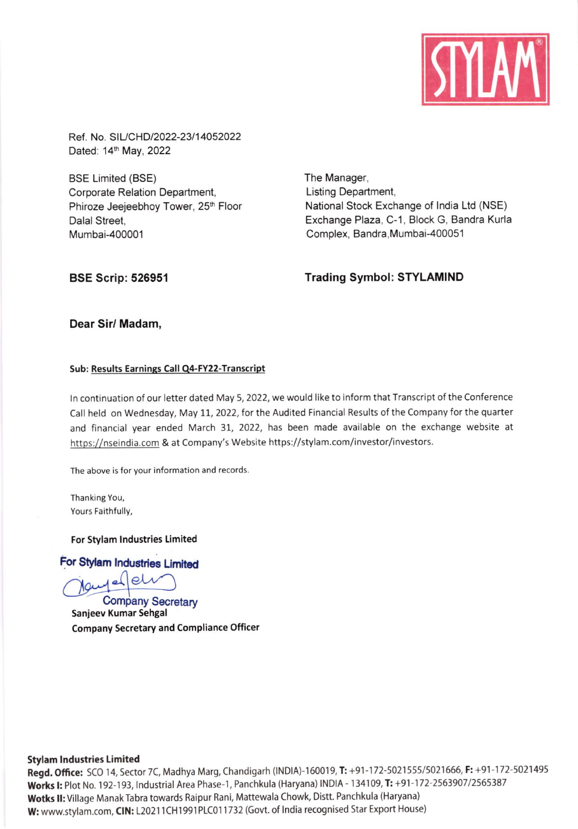

Ref. No. SIL/CHD/2022-23/14052022 Dated: 14th May, 2022

BSE Limited (BSE) Corporate Relation Department, Phiroze Jeejeebhoy Tower, 25<sup>th</sup> Floor Dalal Street, Mumbai-400001

The Manager, Listing Department, National Stock Exchange of lndia Ltd (NSE) Exchange Plaza, C-1, Block G, Bandra Kurla Complex, Bandra, Mumbai-400051

# BSE Scrip: 526951 Trading Symbol: STYLAMIND

# Dear Sir/ Madam,

## Sub: Results Earnings Call Q4-FY22-Transcript

ln continuation of our letter dated May 5, 2022, we would like to inform that Transcript of the Conference Call held on Wednesday, May 11, 2022, for the Audited Financial Results of the Company for the quarter and financial year ended March 31, 2022, has been made available on the exchange website at https://nseindia.com & at Company's Website https://stylam.com/investor/investors.

The above is for your information and records

Thanking You, Yours Faithfully,

### For Stylam lndustries Limited

For Stylam Industries Limited

**Company Secretary** Sanjeev Kumar Sehgal company secretary and Compliance Officer

### Stylam lndustries Limited

Regd. Office: SCO 14, Sector 7C, Madhya Marg, Chandigarh (INDIA)-160019, T: +91-172-5021555/5021666, F: +91-172-5021495 Works I: Plot No. 192-193, Industrial Area Phase-1, Panchkula (Haryana) INDIA - 134109, T: +91-172-2563907/2565387 Wotks II: Village Manak Tabra towards Raipur Rani, Mattewala Chowk, Distt. Panchkula (Haryana) W: www.stylam.com, CIN: L20211CH1991PLC011732 (Govt. of India recognised Star Export House)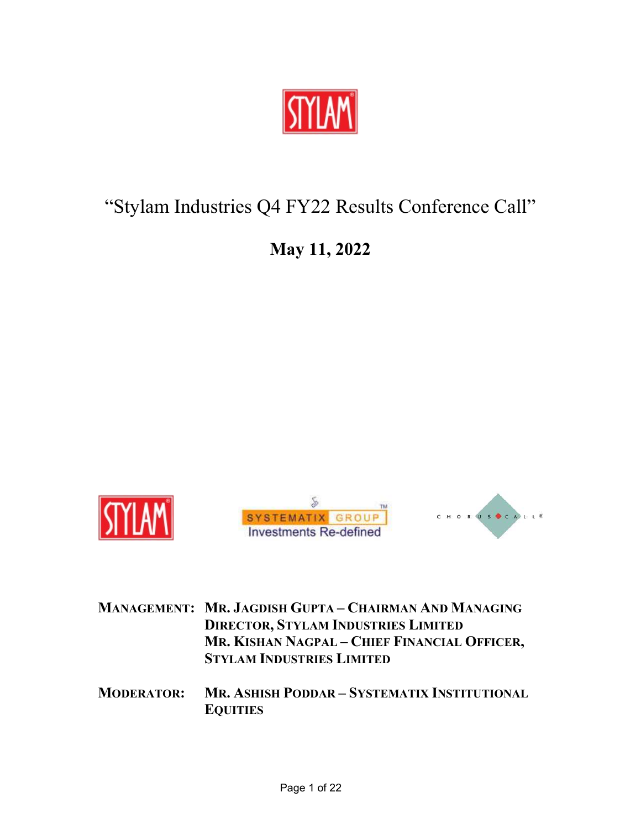

# "Stylam Industries Q4 FY22 Results Conference Call"

# May 11, 2022



|  | <b>MANAGEMENT: MR. JAGDISH GUPTA - CHAIRMAN AND MANAGING</b> |
|--|--------------------------------------------------------------|
|  | <b>DIRECTOR, STYLAM INDUSTRIES LIMITED</b>                   |
|  | MR. KISHAN NAGPAL - CHIEF FINANCIAL OFFICER,                 |
|  | <b>STYLAM INDUSTRIES LIMITED</b>                             |
|  |                                                              |

MODERATOR: MR. ASHISH PODDAR – SYSTEMATIX INSTITUTIONAL **EQUITIES**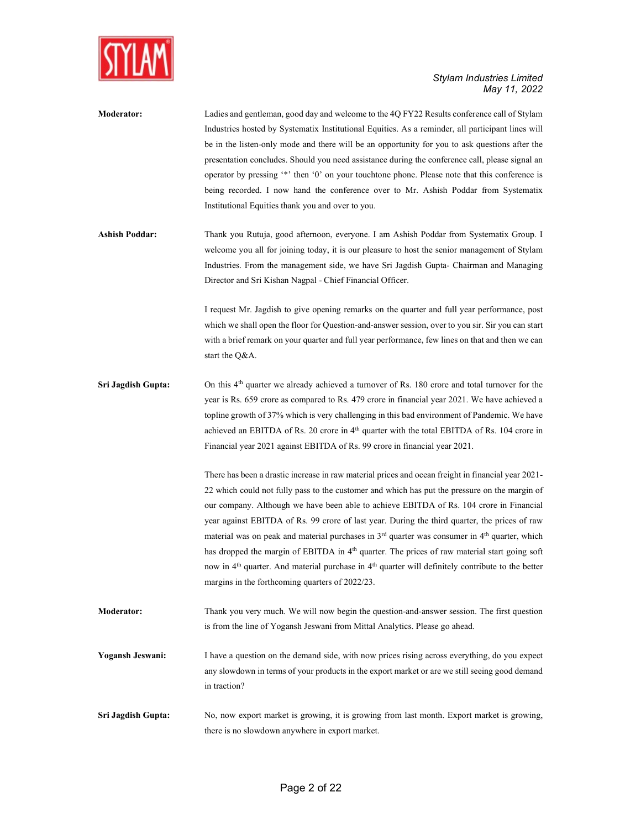

| <b>Moderator:</b>     | Ladies and gentleman, good day and welcome to the 4Q FY22 Results conference call of Stylam<br>Industries hosted by Systematix Institutional Equities. As a reminder, all participant lines will<br>be in the listen-only mode and there will be an opportunity for you to ask questions after the<br>presentation concludes. Should you need assistance during the conference call, please signal an<br>operator by pressing "*' then '0' on your touchtone phone. Please note that this conference is<br>being recorded. I now hand the conference over to Mr. Ashish Poddar from Systematix<br>Institutional Equities thank you and over to you. |
|-----------------------|-----------------------------------------------------------------------------------------------------------------------------------------------------------------------------------------------------------------------------------------------------------------------------------------------------------------------------------------------------------------------------------------------------------------------------------------------------------------------------------------------------------------------------------------------------------------------------------------------------------------------------------------------------|
| <b>Ashish Poddar:</b> | Thank you Rutuja, good afternoon, everyone. I am Ashish Poddar from Systematix Group. I<br>welcome you all for joining today, it is our pleasure to host the senior management of Stylam<br>Industries. From the management side, we have Sri Jagdish Gupta- Chairman and Managing<br>Director and Sri Kishan Nagpal - Chief Financial Officer.                                                                                                                                                                                                                                                                                                     |
|                       | I request Mr. Jagdish to give opening remarks on the quarter and full year performance, post<br>which we shall open the floor for Question-and-answer session, over to you sir. Sir you can start<br>with a brief remark on your quarter and full year performance, few lines on that and then we can<br>start the Q&A.                                                                                                                                                                                                                                                                                                                             |
| Sri Jagdish Gupta:    | On this 4 <sup>th</sup> quarter we already achieved a turnover of Rs. 180 crore and total turnover for the<br>year is Rs. 659 crore as compared to Rs. 479 crore in financial year 2021. We have achieved a<br>topline growth of 37% which is very challenging in this bad environment of Pandemic. We have<br>achieved an EBITDA of Rs. 20 crore in 4 <sup>th</sup> quarter with the total EBITDA of Rs. 104 crore in<br>Financial year 2021 against EBITDA of Rs. 99 crore in financial year 2021.                                                                                                                                                |
|                       | There has been a drastic increase in raw material prices and ocean freight in financial year 2021-                                                                                                                                                                                                                                                                                                                                                                                                                                                                                                                                                  |

22 which could not fully pass to the customer and which has put the pressure on the margin of our company. Although we have been able to achieve EBITDA of Rs. 104 crore in Financial year against EBITDA of Rs. 99 crore of last year. During the third quarter, the prices of raw material was on peak and material purchases in 3<sup>rd</sup> quarter was consumer in 4<sup>th</sup> quarter, which has dropped the margin of EBITDA in 4<sup>th</sup> quarter. The prices of raw material start going soft now in 4<sup>th</sup> quarter. And material purchase in 4<sup>th</sup> quarter will definitely contribute to the better margins in the forthcoming quarters of 2022/23.

- Moderator: Thank you very much. We will now begin the question-and-answer session. The first question is from the line of Yogansh Jeswani from Mittal Analytics. Please go ahead.
- Yogansh Jeswani: I have a question on the demand side, with now prices rising across everything, do you expect any slowdown in terms of your products in the export market or are we still seeing good demand in traction?
- Sri Jagdish Gupta: No, now export market is growing, it is growing from last month. Export market is growing, there is no slowdown anywhere in export market.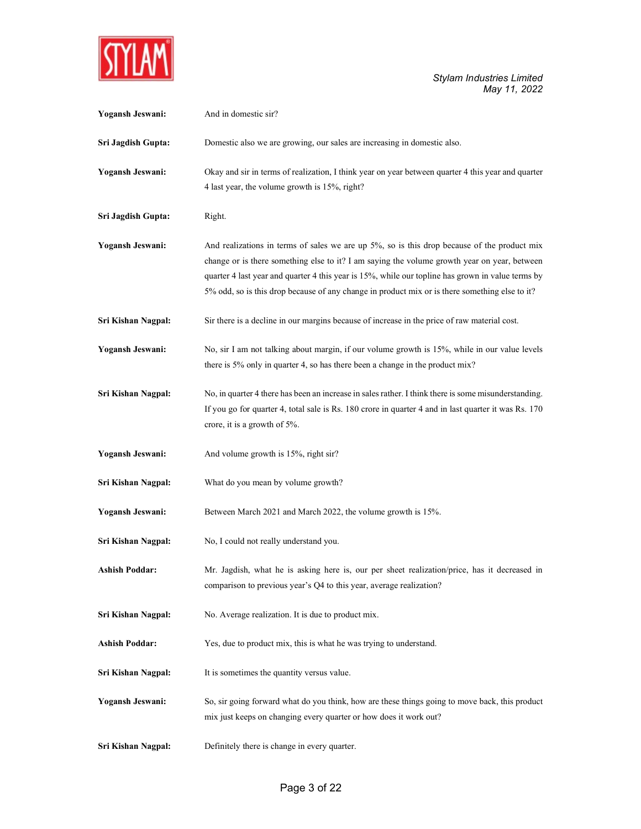

| Yogansh Jeswani:      | And in domestic sir?                                                                                                                                                                                                                                                                                                                                                                               |
|-----------------------|----------------------------------------------------------------------------------------------------------------------------------------------------------------------------------------------------------------------------------------------------------------------------------------------------------------------------------------------------------------------------------------------------|
| Sri Jagdish Gupta:    | Domestic also we are growing, our sales are increasing in domestic also.                                                                                                                                                                                                                                                                                                                           |
| Yogansh Jeswani:      | Okay and sir in terms of realization, I think year on year between quarter 4 this year and quarter<br>4 last year, the volume growth is 15%, right?                                                                                                                                                                                                                                                |
| Sri Jagdish Gupta:    | Right.                                                                                                                                                                                                                                                                                                                                                                                             |
| Yogansh Jeswani:      | And realizations in terms of sales we are up 5%, so is this drop because of the product mix<br>change or is there something else to it? I am saying the volume growth year on year, between<br>quarter 4 last year and quarter 4 this year is 15%, while our topline has grown in value terms by<br>5% odd, so is this drop because of any change in product mix or is there something else to it? |
| Sri Kishan Nagpal:    | Sir there is a decline in our margins because of increase in the price of raw material cost.                                                                                                                                                                                                                                                                                                       |
| Yogansh Jeswani:      | No, sir I am not talking about margin, if our volume growth is 15%, while in our value levels<br>there is 5% only in quarter 4, so has there been a change in the product mix?                                                                                                                                                                                                                     |
| Sri Kishan Nagpal:    | No, in quarter 4 there has been an increase in sales rather. I think there is some misunderstanding.<br>If you go for quarter 4, total sale is Rs. 180 crore in quarter 4 and in last quarter it was Rs. 170<br>crore, it is a growth of 5%.                                                                                                                                                       |
| Yogansh Jeswani:      | And volume growth is 15%, right sir?                                                                                                                                                                                                                                                                                                                                                               |
| Sri Kishan Nagpal:    | What do you mean by volume growth?                                                                                                                                                                                                                                                                                                                                                                 |
| Yogansh Jeswani:      | Between March 2021 and March 2022, the volume growth is 15%.                                                                                                                                                                                                                                                                                                                                       |
| Sri Kishan Nagpal:    | No, I could not really understand you.                                                                                                                                                                                                                                                                                                                                                             |
| <b>Ashish Poddar:</b> | Mr. Jagdish, what he is asking here is, our per sheet realization/price, has it decreased in<br>comparison to previous year's Q4 to this year, average realization?                                                                                                                                                                                                                                |
| Sri Kishan Nagpal:    | No. Average realization. It is due to product mix.                                                                                                                                                                                                                                                                                                                                                 |
| <b>Ashish Poddar:</b> | Yes, due to product mix, this is what he was trying to understand.                                                                                                                                                                                                                                                                                                                                 |
| Sri Kishan Nagpal:    | It is sometimes the quantity versus value.                                                                                                                                                                                                                                                                                                                                                         |
| Yogansh Jeswani:      | So, sir going forward what do you think, how are these things going to move back, this product<br>mix just keeps on changing every quarter or how does it work out?                                                                                                                                                                                                                                |
| Sri Kishan Nagpal:    | Definitely there is change in every quarter.                                                                                                                                                                                                                                                                                                                                                       |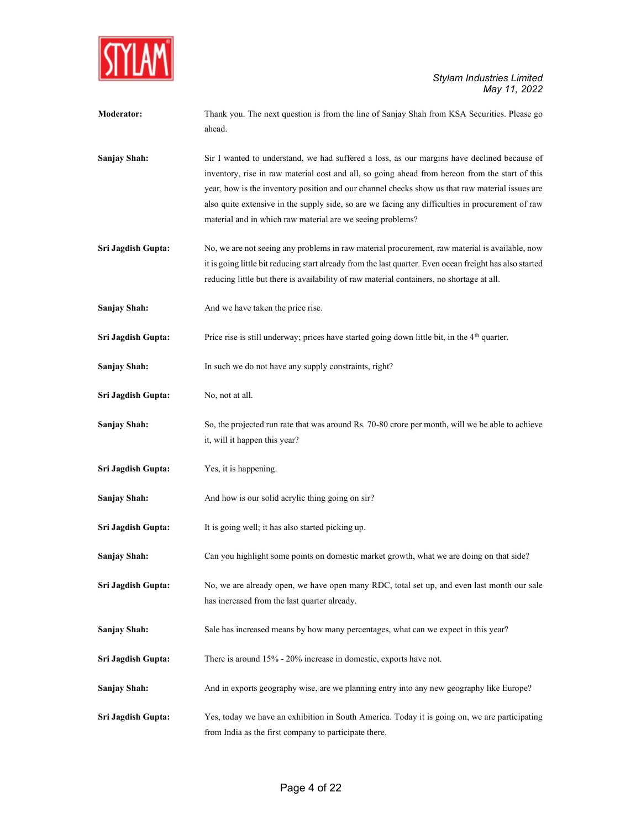

| <b>Moderator:</b>  | Thank you. The next question is from the line of Sanjay Shah from KSA Securities. Please go<br>ahead.                                                                                                                                                                                                                                                                                                                                                               |
|--------------------|---------------------------------------------------------------------------------------------------------------------------------------------------------------------------------------------------------------------------------------------------------------------------------------------------------------------------------------------------------------------------------------------------------------------------------------------------------------------|
| Sanjay Shah:       | Sir I wanted to understand, we had suffered a loss, as our margins have declined because of<br>inventory, rise in raw material cost and all, so going ahead from hereon from the start of this<br>year, how is the inventory position and our channel checks show us that raw material issues are<br>also quite extensive in the supply side, so are we facing any difficulties in procurement of raw<br>material and in which raw material are we seeing problems? |
| Sri Jagdish Gupta: | No, we are not seeing any problems in raw material procurement, raw material is available, now<br>it is going little bit reducing start already from the last quarter. Even ocean freight has also started<br>reducing little but there is availability of raw material containers, no shortage at all.                                                                                                                                                             |
| Sanjay Shah:       | And we have taken the price rise.                                                                                                                                                                                                                                                                                                                                                                                                                                   |
| Sri Jagdish Gupta: | Price rise is still underway; prices have started going down little bit, in the 4 <sup>th</sup> quarter.                                                                                                                                                                                                                                                                                                                                                            |
| Sanjay Shah:       | In such we do not have any supply constraints, right?                                                                                                                                                                                                                                                                                                                                                                                                               |
| Sri Jagdish Gupta: | No, not at all.                                                                                                                                                                                                                                                                                                                                                                                                                                                     |
| Sanjay Shah:       | So, the projected run rate that was around Rs. 70-80 crore per month, will we be able to achieve<br>it, will it happen this year?                                                                                                                                                                                                                                                                                                                                   |
| Sri Jagdish Gupta: | Yes, it is happening.                                                                                                                                                                                                                                                                                                                                                                                                                                               |
| Sanjay Shah:       | And how is our solid acrylic thing going on sir?                                                                                                                                                                                                                                                                                                                                                                                                                    |
| Sri Jagdish Gupta: | It is going well; it has also started picking up.                                                                                                                                                                                                                                                                                                                                                                                                                   |
| Sanjay Shah:       | Can you highlight some points on domestic market growth, what we are doing on that side?                                                                                                                                                                                                                                                                                                                                                                            |
| Sri Jagdish Gupta: | No, we are already open, we have open many RDC, total set up, and even last month our sale<br>has increased from the last quarter already.                                                                                                                                                                                                                                                                                                                          |
| Sanjay Shah:       | Sale has increased means by how many percentages, what can we expect in this year?                                                                                                                                                                                                                                                                                                                                                                                  |
| Sri Jagdish Gupta: | There is around 15% - 20% increase in domestic, exports have not.                                                                                                                                                                                                                                                                                                                                                                                                   |
| Sanjay Shah:       | And in exports geography wise, are we planning entry into any new geography like Europe?                                                                                                                                                                                                                                                                                                                                                                            |
| Sri Jagdish Gupta: | Yes, today we have an exhibition in South America. Today it is going on, we are participating<br>from India as the first company to participate there.                                                                                                                                                                                                                                                                                                              |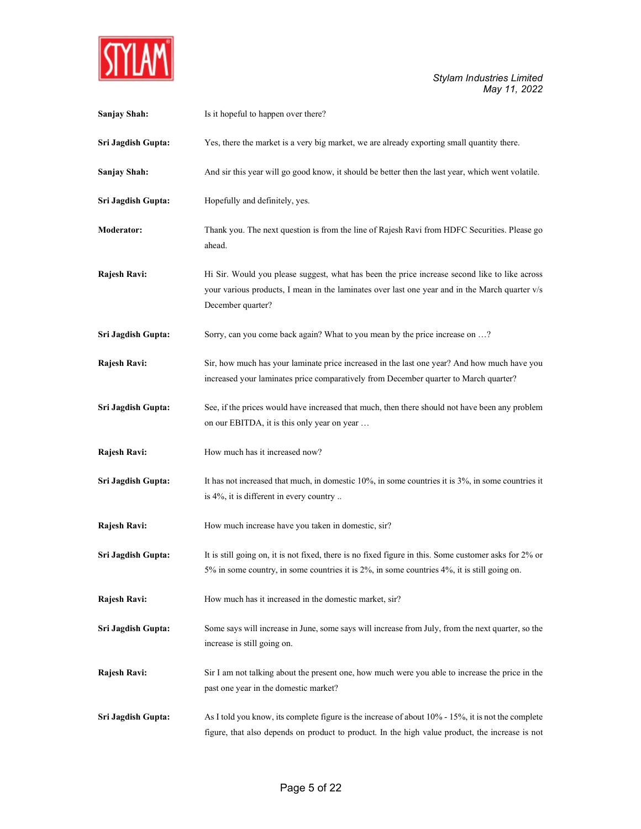

| Sanjay Shah:       | Is it hopeful to happen over there?                                                                                                                                                                                  |
|--------------------|----------------------------------------------------------------------------------------------------------------------------------------------------------------------------------------------------------------------|
| Sri Jagdish Gupta: | Yes, there the market is a very big market, we are already exporting small quantity there.                                                                                                                           |
| Sanjay Shah:       | And sir this year will go good know, it should be better then the last year, which went volatile.                                                                                                                    |
| Sri Jagdish Gupta: | Hopefully and definitely, yes.                                                                                                                                                                                       |
| <b>Moderator:</b>  | Thank you. The next question is from the line of Rajesh Ravi from HDFC Securities. Please go<br>ahead.                                                                                                               |
| Rajesh Ravi:       | Hi Sir. Would you please suggest, what has been the price increase second like to like across<br>your various products, I mean in the laminates over last one year and in the March quarter v/s<br>December quarter? |
| Sri Jagdish Gupta: | Sorry, can you come back again? What to you mean by the price increase on ?                                                                                                                                          |
| Rajesh Ravi:       | Sir, how much has your laminate price increased in the last one year? And how much have you<br>increased your laminates price comparatively from December quarter to March quarter?                                  |
| Sri Jagdish Gupta: | See, if the prices would have increased that much, then there should not have been any problem<br>on our EBITDA, it is this only year on year                                                                        |
| Rajesh Ravi:       | How much has it increased now?                                                                                                                                                                                       |
| Sri Jagdish Gupta: | It has not increased that much, in domestic 10%, in some countries it is 3%, in some countries it<br>is 4%, it is different in every country                                                                         |
| Rajesh Ravi:       | How much increase have you taken in domestic, sir?                                                                                                                                                                   |
| Sri Jagdish Gupta: | It is still going on, it is not fixed, there is no fixed figure in this. Some customer asks for 2% or<br>5% in some country, in some countries it is 2%, in some countries 4%, it is still going on.                 |
| Rajesh Ravi:       | How much has it increased in the domestic market, sir?                                                                                                                                                               |
| Sri Jagdish Gupta: | Some says will increase in June, some says will increase from July, from the next quarter, so the<br>increase is still going on.                                                                                     |
| Rajesh Ravi:       | Sir I am not talking about the present one, how much were you able to increase the price in the<br>past one year in the domestic market?                                                                             |
| Sri Jagdish Gupta: | As I told you know, its complete figure is the increase of about 10% - 15%, it is not the complete<br>figure, that also depends on product to product. In the high value product, the increase is not                |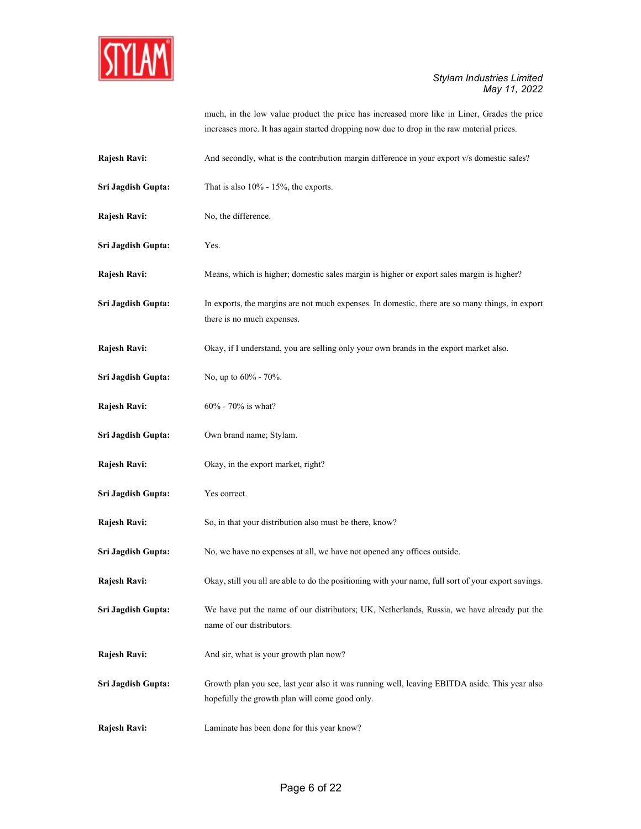

|                    | much, in the low value product the price has increased more like in Liner, Grades the price<br>increases more. It has again started dropping now due to drop in the raw material prices. |
|--------------------|------------------------------------------------------------------------------------------------------------------------------------------------------------------------------------------|
| Rajesh Ravi:       | And secondly, what is the contribution margin difference in your export v/s domestic sales?                                                                                              |
| Sri Jagdish Gupta: | That is also $10\%$ - 15%, the exports.                                                                                                                                                  |
| Rajesh Ravi:       | No, the difference.                                                                                                                                                                      |
| Sri Jagdish Gupta: | Yes.                                                                                                                                                                                     |
| Rajesh Ravi:       | Means, which is higher; domestic sales margin is higher or export sales margin is higher?                                                                                                |
| Sri Jagdish Gupta: | In exports, the margins are not much expenses. In domestic, there are so many things, in export<br>there is no much expenses.                                                            |
| Rajesh Ravi:       | Okay, if I understand, you are selling only your own brands in the export market also.                                                                                                   |
| Sri Jagdish Gupta: | No, up to 60% - 70%.                                                                                                                                                                     |
| Rajesh Ravi:       | 60% - 70% is what?                                                                                                                                                                       |
| Sri Jagdish Gupta: | Own brand name; Stylam.                                                                                                                                                                  |
| Rajesh Ravi:       | Okay, in the export market, right?                                                                                                                                                       |
| Sri Jagdish Gupta: | Yes correct.                                                                                                                                                                             |
| Rajesh Ravi:       | So, in that your distribution also must be there, know?                                                                                                                                  |
| Sri Jagdish Gupta: | No, we have no expenses at all, we have not opened any offices outside.                                                                                                                  |
| Rajesh Ravi:       | Okay, still you all are able to do the positioning with your name, full sort of your export savings.                                                                                     |
| Sri Jagdish Gupta: | We have put the name of our distributors; UK, Netherlands, Russia, we have already put the<br>name of our distributors.                                                                  |
| Rajesh Ravi:       | And sir, what is your growth plan now?                                                                                                                                                   |
| Sri Jagdish Gupta: | Growth plan you see, last year also it was running well, leaving EBITDA aside. This year also<br>hopefully the growth plan will come good only.                                          |
| Rajesh Ravi:       | Laminate has been done for this year know?                                                                                                                                               |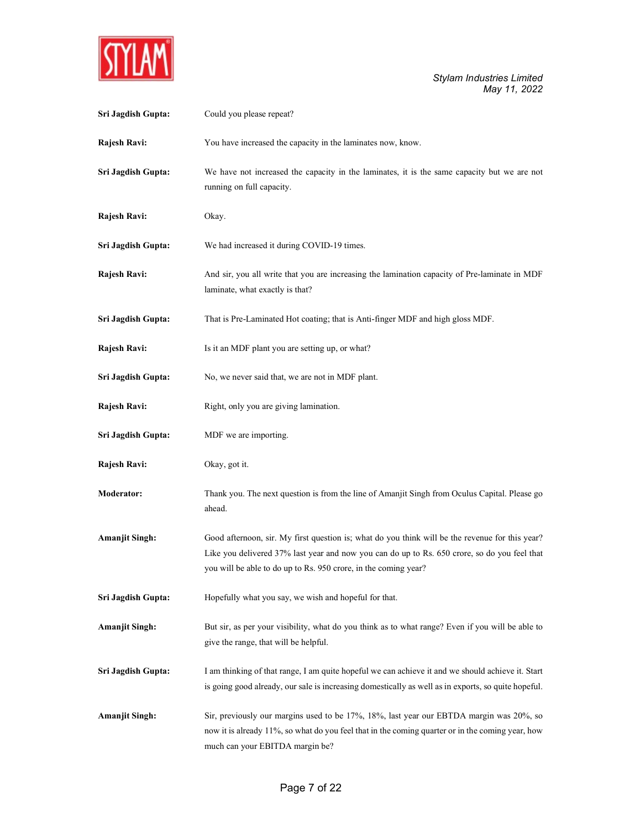

| Sri Jagdish Gupta:    | Could you please repeat?                                                                                                                                                                                                                                           |
|-----------------------|--------------------------------------------------------------------------------------------------------------------------------------------------------------------------------------------------------------------------------------------------------------------|
| Rajesh Ravi:          | You have increased the capacity in the laminates now, know.                                                                                                                                                                                                        |
| Sri Jagdish Gupta:    | We have not increased the capacity in the laminates, it is the same capacity but we are not<br>running on full capacity.                                                                                                                                           |
| Rajesh Ravi:          | Okay.                                                                                                                                                                                                                                                              |
| Sri Jagdish Gupta:    | We had increased it during COVID-19 times.                                                                                                                                                                                                                         |
| Rajesh Ravi:          | And sir, you all write that you are increasing the lamination capacity of Pre-laminate in MDF<br>laminate, what exactly is that?                                                                                                                                   |
| Sri Jagdish Gupta:    | That is Pre-Laminated Hot coating; that is Anti-finger MDF and high gloss MDF.                                                                                                                                                                                     |
| Rajesh Ravi:          | Is it an MDF plant you are setting up, or what?                                                                                                                                                                                                                    |
| Sri Jagdish Gupta:    | No, we never said that, we are not in MDF plant.                                                                                                                                                                                                                   |
| Rajesh Ravi:          | Right, only you are giving lamination.                                                                                                                                                                                                                             |
| Sri Jagdish Gupta:    | MDF we are importing.                                                                                                                                                                                                                                              |
| Rajesh Ravi:          | Okay, got it.                                                                                                                                                                                                                                                      |
| Moderator:            | Thank you. The next question is from the line of Amanjit Singh from Oculus Capital. Please go<br>ahead.                                                                                                                                                            |
| <b>Amanjit Singh:</b> | Good afternoon, sir. My first question is; what do you think will be the revenue for this year?<br>Like you delivered 37% last year and now you can do up to Rs. 650 crore, so do you feel that<br>you will be able to do up to Rs. 950 crore, in the coming year? |
| Sri Jagdish Gupta:    | Hopefully what you say, we wish and hopeful for that.                                                                                                                                                                                                              |
| <b>Amanjit Singh:</b> | But sir, as per your visibility, what do you think as to what range? Even if you will be able to<br>give the range, that will be helpful.                                                                                                                          |
| Sri Jagdish Gupta:    | I am thinking of that range, I am quite hopeful we can achieve it and we should achieve it. Start<br>is going good already, our sale is increasing domestically as well as in exports, so quite hopeful.                                                           |
| <b>Amanjit Singh:</b> | Sir, previously our margins used to be 17%, 18%, last year our EBTDA margin was 20%, so<br>now it is already 11%, so what do you feel that in the coming quarter or in the coming year, how<br>much can your EBITDA margin be?                                     |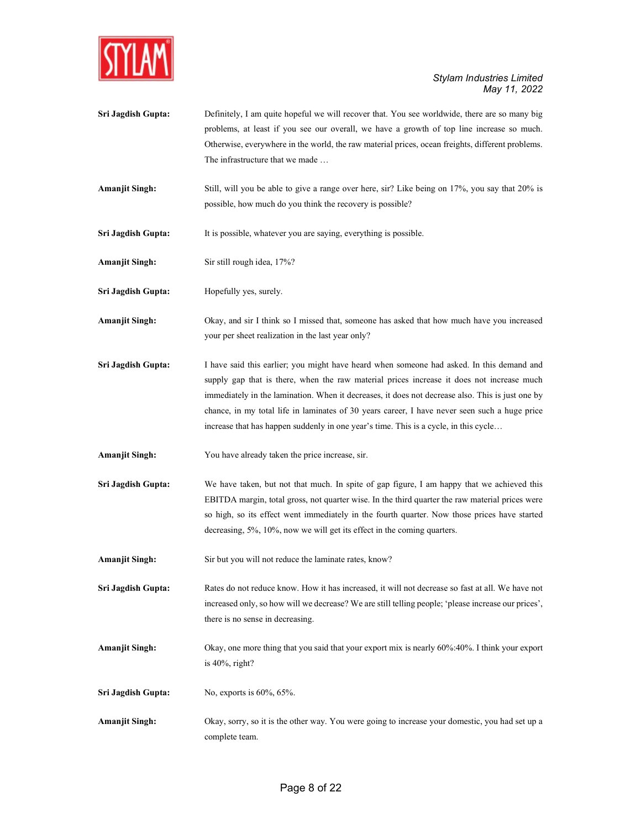

- Sri Jagdish Gupta: Definitely, I am quite hopeful we will recover that. You see worldwide, there are so many big problems, at least if you see our overall, we have a growth of top line increase so much. Otherwise, everywhere in the world, the raw material prices, ocean freights, different problems. The infrastructure that we made …
- Amanjit Singh: Still, will you be able to give a range over here, sir? Like being on 17%, you say that 20% is possible, how much do you think the recovery is possible?
- Sri Jagdish Gupta: It is possible, whatever you are saying, everything is possible.
- Amanjit Singh: Sir still rough idea, 17%?
- Sri Jagdish Gupta: Hopefully yes, surely.
- Amanjit Singh: Okay, and sir I think so I missed that, someone has asked that how much have you increased your per sheet realization in the last year only?
- Sri Jagdish Gupta: I have said this earlier; you might have heard when someone had asked. In this demand and supply gap that is there, when the raw material prices increase it does not increase much immediately in the lamination. When it decreases, it does not decrease also. This is just one by chance, in my total life in laminates of 30 years career, I have never seen such a huge price increase that has happen suddenly in one year's time. This is a cycle, in this cycle…
- Amanjit Singh: You have already taken the price increase, sir.
- Sri Jagdish Gupta: We have taken, but not that much. In spite of gap figure, I am happy that we achieved this EBITDA margin, total gross, not quarter wise. In the third quarter the raw material prices were so high, so its effect went immediately in the fourth quarter. Now those prices have started decreasing, 5%, 10%, now we will get its effect in the coming quarters.
- Amanjit Singh: Sir but you will not reduce the laminate rates, know?
- Sri Jagdish Gupta: Rates do not reduce know. How it has increased, it will not decrease so fast at all. We have not increased only, so how will we decrease? We are still telling people; 'please increase our prices', there is no sense in decreasing.
- Amanjit Singh: Okay, one more thing that you said that your export mix is nearly 60%:40%. I think your export is 40%, right?
- Sri Jagdish Gupta: No, exports is 60%, 65%.
- Amanjit Singh: Okay, sorry, so it is the other way. You were going to increase your domestic, you had set up a complete team.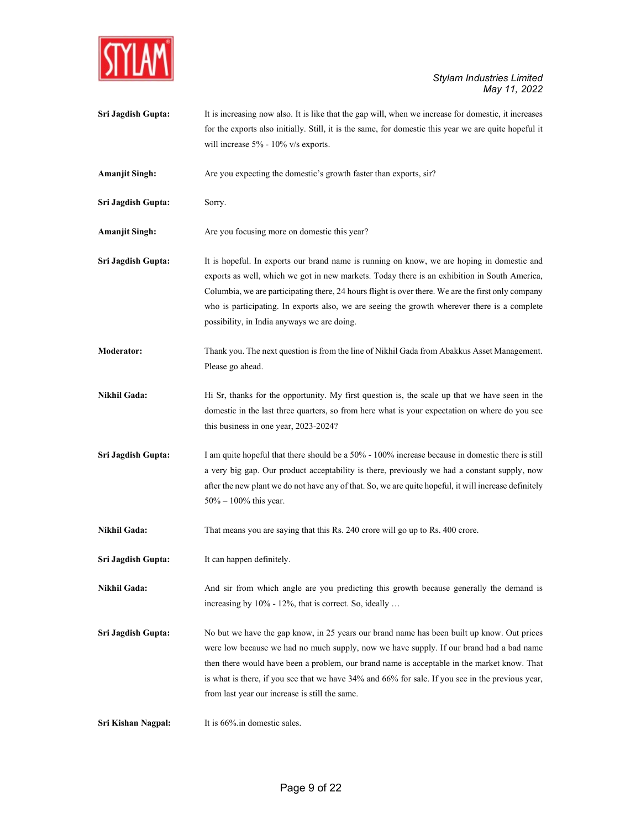

Sri Jagdish Gupta: It is increasing now also. It is like that the gap will, when we increase for domestic, it increases for the exports also initially. Still, it is the same, for domestic this year we are quite hopeful it will increase 5% - 10% v/s exports.

Amanjit Singh: Are you expecting the domestic's growth faster than exports, sir?

Sri Jagdish Gupta: Sorry.

Amanjit Singh: Are you focusing more on domestic this year?

- Sri Jagdish Gupta: It is hopeful. In exports our brand name is running on know, we are hoping in domestic and exports as well, which we got in new markets. Today there is an exhibition in South America, Columbia, we are participating there, 24 hours flight is over there. We are the first only company who is participating. In exports also, we are seeing the growth wherever there is a complete possibility, in India anyways we are doing.
- Moderator: Thank you. The next question is from the line of Nikhil Gada from Abakkus Asset Management. Please go ahead.
- Nikhil Gada: Hi Sr, thanks for the opportunity. My first question is, the scale up that we have seen in the domestic in the last three quarters, so from here what is your expectation on where do you see this business in one year, 2023-2024?
- Sri Jagdish Gupta: I am quite hopeful that there should be a 50% 100% increase because in domestic there is still a very big gap. Our product acceptability is there, previously we had a constant supply, now after the new plant we do not have any of that. So, we are quite hopeful, it will increase definitely 50% – 100% this year.

Nikhil Gada: That means you are saying that this Rs. 240 crore will go up to Rs. 400 crore.

Sri Jagdish Gupta: It can happen definitely.

Nikhil Gada: And sir from which angle are you predicting this growth because generally the demand is increasing by 10% - 12%, that is correct. So, ideally …

Sri Jagdish Gupta: No but we have the gap know, in 25 years our brand name has been built up know. Out prices were low because we had no much supply, now we have supply. If our brand had a bad name then there would have been a problem, our brand name is acceptable in the market know. That is what is there, if you see that we have 34% and 66% for sale. If you see in the previous year, from last year our increase is still the same.

Sri Kishan Nagpal: It is 66%.in domestic sales.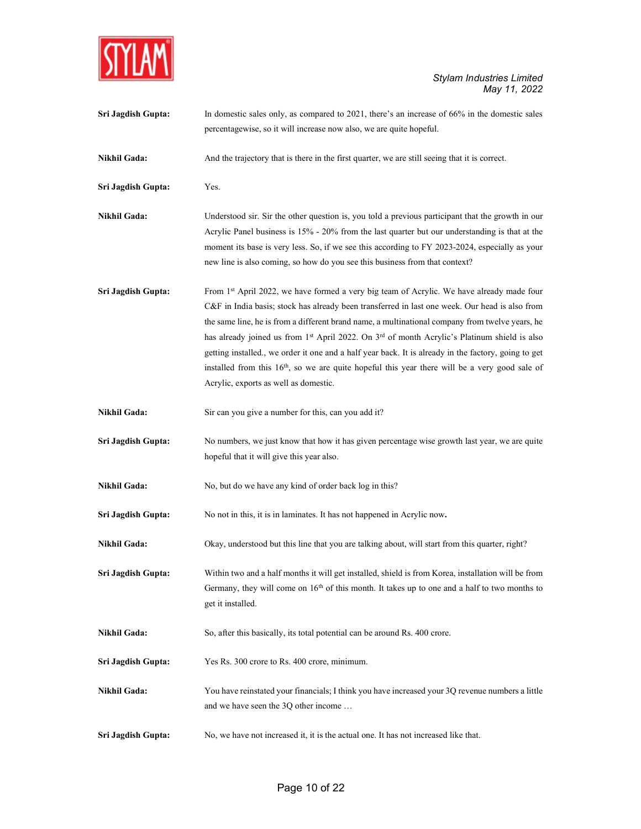

| Sri Jagdish Gupta:  | In domestic sales only, as compared to $2021$ , there's an increase of $66\%$ in the domestic sales<br>percentagewise, so it will increase now also, we are quite hopeful.                                                                                                                                                                                                                                                                                                                                                                                                                                                                                                |
|---------------------|---------------------------------------------------------------------------------------------------------------------------------------------------------------------------------------------------------------------------------------------------------------------------------------------------------------------------------------------------------------------------------------------------------------------------------------------------------------------------------------------------------------------------------------------------------------------------------------------------------------------------------------------------------------------------|
| Nikhil Gada:        | And the trajectory that is there in the first quarter, we are still seeing that it is correct.                                                                                                                                                                                                                                                                                                                                                                                                                                                                                                                                                                            |
| Sri Jagdish Gupta:  | Yes.                                                                                                                                                                                                                                                                                                                                                                                                                                                                                                                                                                                                                                                                      |
| <b>Nikhil Gada:</b> | Understood sir. Sir the other question is, you told a previous participant that the growth in our<br>Acrylic Panel business is 15% - 20% from the last quarter but our understanding is that at the<br>moment its base is very less. So, if we see this according to FY 2023-2024, especially as your<br>new line is also coming, so how do you see this business from that context?                                                                                                                                                                                                                                                                                      |
| Sri Jagdish Gupta:  | From 1 <sup>st</sup> April 2022, we have formed a very big team of Acrylic. We have already made four<br>C&F in India basis; stock has already been transferred in last one week. Our head is also from<br>the same line, he is from a different brand name, a multinational company from twelve years, he<br>has already joined us from 1st April 2022. On 3rd of month Acrylic's Platinum shield is also<br>getting installed., we order it one and a half year back. It is already in the factory, going to get<br>installed from this 16 <sup>th</sup> , so we are quite hopeful this year there will be a very good sale of<br>Acrylic, exports as well as domestic. |
| Nikhil Gada:        | Sir can you give a number for this, can you add it?                                                                                                                                                                                                                                                                                                                                                                                                                                                                                                                                                                                                                       |
| Sri Jagdish Gupta:  | No numbers, we just know that how it has given percentage wise growth last year, we are quite<br>hopeful that it will give this year also.                                                                                                                                                                                                                                                                                                                                                                                                                                                                                                                                |
| Nikhil Gada:        | No, but do we have any kind of order back log in this?                                                                                                                                                                                                                                                                                                                                                                                                                                                                                                                                                                                                                    |
| Sri Jagdish Gupta:  | No not in this, it is in laminates. It has not happened in Acrylic now.                                                                                                                                                                                                                                                                                                                                                                                                                                                                                                                                                                                                   |
| Nikhil Gada:        | Okay, understood but this line that you are talking about, will start from this quarter, right?                                                                                                                                                                                                                                                                                                                                                                                                                                                                                                                                                                           |
| Sri Jagdish Gupta:  | Within two and a half months it will get installed, shield is from Korea, installation will be from<br>Germany, they will come on $16th$ of this month. It takes up to one and a half to two months to<br>get it installed.                                                                                                                                                                                                                                                                                                                                                                                                                                               |
| <b>Nikhil Gada:</b> | So, after this basically, its total potential can be around Rs. 400 crore.                                                                                                                                                                                                                                                                                                                                                                                                                                                                                                                                                                                                |
| Sri Jagdish Gupta:  | Yes Rs. 300 crore to Rs. 400 crore, minimum.                                                                                                                                                                                                                                                                                                                                                                                                                                                                                                                                                                                                                              |
| Nikhil Gada:        | You have reinstated your financials; I think you have increased your 3Q revenue numbers a little<br>and we have seen the 3Q other income                                                                                                                                                                                                                                                                                                                                                                                                                                                                                                                                  |
| Sri Jagdish Gupta:  | No, we have not increased it, it is the actual one. It has not increased like that.                                                                                                                                                                                                                                                                                                                                                                                                                                                                                                                                                                                       |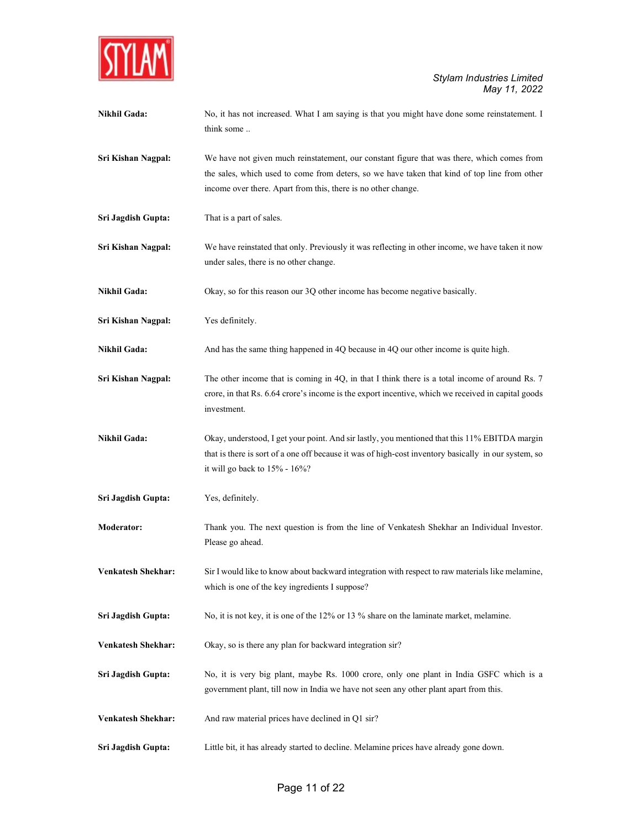

| Nikhil Gada:              | No, it has not increased. What I am saying is that you might have done some reinstatement. I<br>think some                                                                                                                                                  |
|---------------------------|-------------------------------------------------------------------------------------------------------------------------------------------------------------------------------------------------------------------------------------------------------------|
| Sri Kishan Nagpal:        | We have not given much reinstatement, our constant figure that was there, which comes from<br>the sales, which used to come from deters, so we have taken that kind of top line from other<br>income over there. Apart from this, there is no other change. |
| Sri Jagdish Gupta:        | That is a part of sales.                                                                                                                                                                                                                                    |
| Sri Kishan Nagpal:        | We have reinstated that only. Previously it was reflecting in other income, we have taken it now<br>under sales, there is no other change.                                                                                                                  |
| <b>Nikhil Gada:</b>       | Okay, so for this reason our 3Q other income has become negative basically.                                                                                                                                                                                 |
| Sri Kishan Nagpal:        | Yes definitely.                                                                                                                                                                                                                                             |
| <b>Nikhil Gada:</b>       | And has the same thing happened in 4Q because in 4Q our other income is quite high.                                                                                                                                                                         |
| Sri Kishan Nagpal:        | The other income that is coming in 4Q, in that I think there is a total income of around Rs. 7<br>crore, in that Rs. 6.64 crore's income is the export incentive, which we received in capital goods<br>investment.                                         |
| <b>Nikhil Gada:</b>       | Okay, understood, I get your point. And sir lastly, you mentioned that this 11% EBITDA margin<br>that is there is sort of a one off because it was of high-cost inventory basically in our system, so<br>it will go back to $15\%$ - $16\%$ ?               |
| Sri Jagdish Gupta:        | Yes, definitely.                                                                                                                                                                                                                                            |
| Moderator:                | Thank you. The next question is from the line of Venkatesh Shekhar an Individual Investor.<br>Please go ahead.                                                                                                                                              |
| <b>Venkatesh Shekhar:</b> | Sir I would like to know about backward integration with respect to raw materials like melamine,<br>which is one of the key ingredients I suppose?                                                                                                          |
| Sri Jagdish Gupta:        | No, it is not key, it is one of the 12% or 13 % share on the laminate market, melamine.                                                                                                                                                                     |
| <b>Venkatesh Shekhar:</b> | Okay, so is there any plan for backward integration sir?                                                                                                                                                                                                    |
| Sri Jagdish Gupta:        | No, it is very big plant, maybe Rs. 1000 crore, only one plant in India GSFC which is a<br>government plant, till now in India we have not seen any other plant apart from this.                                                                            |
| <b>Venkatesh Shekhar:</b> | And raw material prices have declined in Q1 sir?                                                                                                                                                                                                            |
| Sri Jagdish Gupta:        | Little bit, it has already started to decline. Melamine prices have already gone down.                                                                                                                                                                      |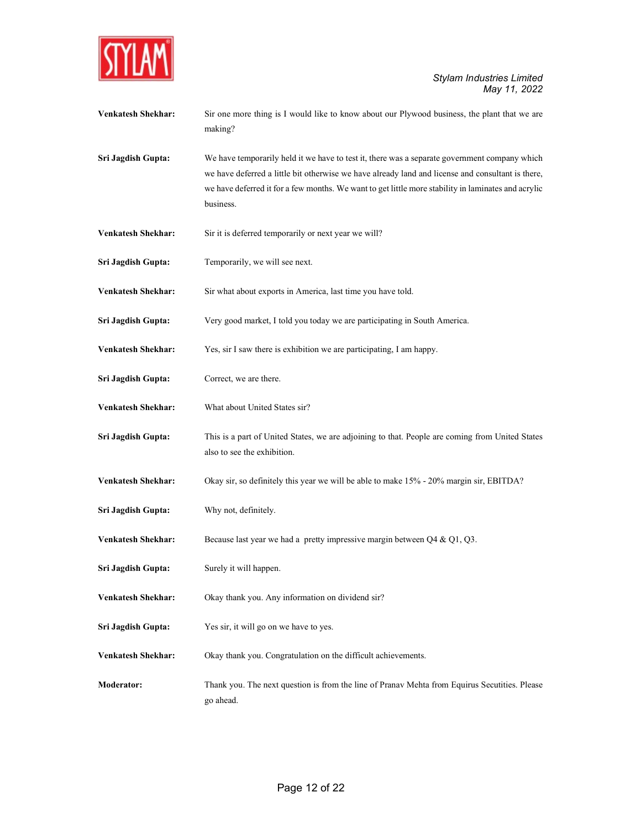

| Venkatesh Shekhar:        | Sir one more thing is I would like to know about our Plywood business, the plant that we are<br>making?                                                                                                                                                                                                                |
|---------------------------|------------------------------------------------------------------------------------------------------------------------------------------------------------------------------------------------------------------------------------------------------------------------------------------------------------------------|
| Sri Jagdish Gupta:        | We have temporarily held it we have to test it, there was a separate government company which<br>we have deferred a little bit otherwise we have already land and license and consultant is there,<br>we have deferred it for a few months. We want to get little more stability in laminates and acrylic<br>business. |
| <b>Venkatesh Shekhar:</b> | Sir it is deferred temporarily or next year we will?                                                                                                                                                                                                                                                                   |
| Sri Jagdish Gupta:        | Temporarily, we will see next.                                                                                                                                                                                                                                                                                         |
| <b>Venkatesh Shekhar:</b> | Sir what about exports in America, last time you have told.                                                                                                                                                                                                                                                            |
| Sri Jagdish Gupta:        | Very good market, I told you today we are participating in South America.                                                                                                                                                                                                                                              |
| <b>Venkatesh Shekhar:</b> | Yes, sir I saw there is exhibition we are participating, I am happy.                                                                                                                                                                                                                                                   |
| Sri Jagdish Gupta:        | Correct, we are there.                                                                                                                                                                                                                                                                                                 |
| <b>Venkatesh Shekhar:</b> | What about United States sir?                                                                                                                                                                                                                                                                                          |
| Sri Jagdish Gupta:        | This is a part of United States, we are adjoining to that. People are coming from United States<br>also to see the exhibition.                                                                                                                                                                                         |
| <b>Venkatesh Shekhar:</b> | Okay sir, so definitely this year we will be able to make 15% - 20% margin sir, EBITDA?                                                                                                                                                                                                                                |
| Sri Jagdish Gupta:        | Why not, definitely.                                                                                                                                                                                                                                                                                                   |
| <b>Venkatesh Shekhar:</b> | Because last year we had a pretty impressive margin between $Q4 \& Q1, Q3$ .                                                                                                                                                                                                                                           |
| Sri Jagdish Gupta:        | Surely it will happen.                                                                                                                                                                                                                                                                                                 |
| <b>Venkatesh Shekhar:</b> | Okay thank you. Any information on dividend sir?                                                                                                                                                                                                                                                                       |
| Sri Jagdish Gupta:        | Yes sir, it will go on we have to yes.                                                                                                                                                                                                                                                                                 |
| Venkatesh Shekhar:        | Okay thank you. Congratulation on the difficult achievements.                                                                                                                                                                                                                                                          |
| Moderator:                | Thank you. The next question is from the line of Pranav Mehta from Equirus Secutities. Please                                                                                                                                                                                                                          |

go ahead.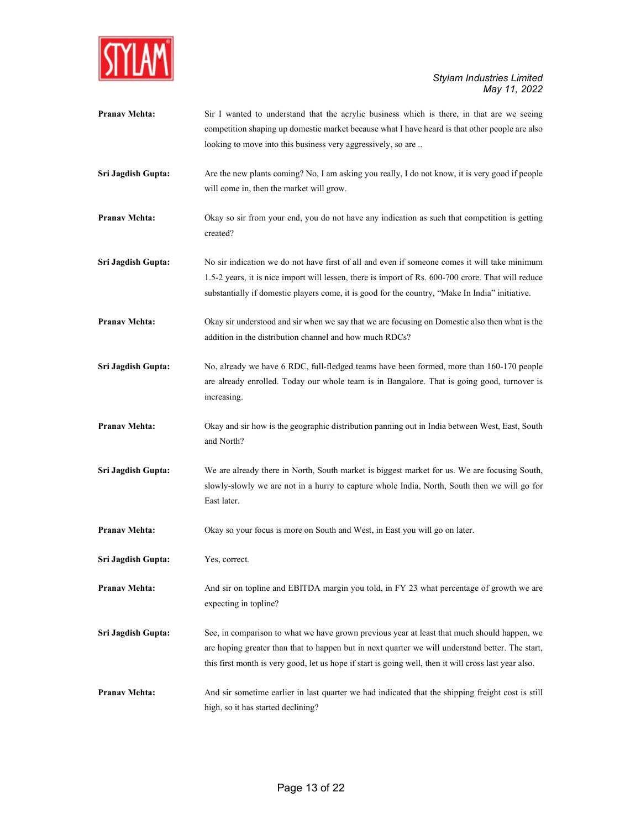

| <b>Pranav Mehta:</b> | Sir I wanted to understand that the acrylic business which is there, in that are we seeing<br>competition shaping up domestic market because what I have heard is that other people are also                                                                                                             |
|----------------------|----------------------------------------------------------------------------------------------------------------------------------------------------------------------------------------------------------------------------------------------------------------------------------------------------------|
|                      | looking to move into this business very aggressively, so are                                                                                                                                                                                                                                             |
| Sri Jagdish Gupta:   | Are the new plants coming? No, I am asking you really, I do not know, it is very good if people<br>will come in, then the market will grow.                                                                                                                                                              |
| <b>Pranav Mehta:</b> | Okay so sir from your end, you do not have any indication as such that competition is getting<br>created?                                                                                                                                                                                                |
| Sri Jagdish Gupta:   | No sir indication we do not have first of all and even if someone comes it will take minimum<br>1.5-2 years, it is nice import will lessen, there is import of Rs. 600-700 crore. That will reduce<br>substantially if domestic players come, it is good for the country, "Make In India" initiative.    |
| <b>Pranav Mehta:</b> | Okay sir understood and sir when we say that we are focusing on Domestic also then what is the<br>addition in the distribution channel and how much RDCs?                                                                                                                                                |
| Sri Jagdish Gupta:   | No, already we have 6 RDC, full-fledged teams have been formed, more than 160-170 people<br>are already enrolled. Today our whole team is in Bangalore. That is going good, turnover is<br>increasing.                                                                                                   |
| <b>Pranav Mehta:</b> | Okay and sir how is the geographic distribution panning out in India between West, East, South<br>and North?                                                                                                                                                                                             |
| Sri Jagdish Gupta:   | We are already there in North, South market is biggest market for us. We are focusing South,<br>slowly-slowly we are not in a hurry to capture whole India, North, South then we will go for<br>East later.                                                                                              |
| Pranav Mehta:        | Okay so your focus is more on South and West, in East you will go on later.                                                                                                                                                                                                                              |
| Sri Jagdish Gupta:   | Yes, correct.                                                                                                                                                                                                                                                                                            |
| <b>Pranav Mehta:</b> | And sir on topline and EBITDA margin you told, in FY 23 what percentage of growth we are<br>expecting in topline?                                                                                                                                                                                        |
| Sri Jagdish Gupta:   | See, in comparison to what we have grown previous year at least that much should happen, we<br>are hoping greater than that to happen but in next quarter we will understand better. The start,<br>this first month is very good, let us hope if start is going well, then it will cross last year also. |
| <b>Pranav Mehta:</b> | And sir sometime earlier in last quarter we had indicated that the shipping freight cost is still<br>high, so it has started declining?                                                                                                                                                                  |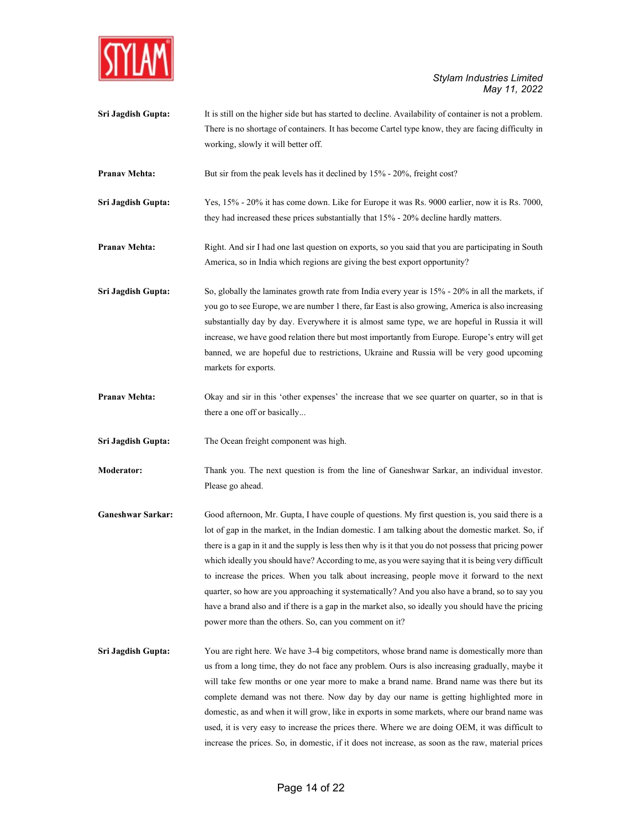

Sri Jagdish Gupta: It is still on the higher side but has started to decline. Availability of container is not a problem. There is no shortage of containers. It has become Cartel type know, they are facing difficulty in working, slowly it will better off.

**Pranav Mehta:** But sir from the peak levels has it declined by 15% - 20%, freight cost?

- Sri Jagdish Gupta: Yes, 15% 20% it has come down. Like for Europe it was Rs. 9000 earlier, now it is Rs. 7000, they had increased these prices substantially that 15% - 20% decline hardly matters.
- Pranav Mehta: Right. And sir I had one last question on exports, so you said that you are participating in South America, so in India which regions are giving the best export opportunity?
- Sri Jagdish Gupta: So, globally the laminates growth rate from India every year is 15% 20% in all the markets, if you go to see Europe, we are number 1 there, far East is also growing, America is also increasing substantially day by day. Everywhere it is almost same type, we are hopeful in Russia it will increase, we have good relation there but most importantly from Europe. Europe's entry will get banned, we are hopeful due to restrictions, Ukraine and Russia will be very good upcoming markets for exports.
- **Pranav Mehta:** Okay and sir in this 'other expenses' the increase that we see quarter on quarter, so in that is there a one off or basically...

Sri Jagdish Gupta: The Ocean freight component was high.

Moderator: Thank you. The next question is from the line of Ganeshwar Sarkar, an individual investor. Please go ahead.

- Ganeshwar Sarkar: Good afternoon, Mr. Gupta, I have couple of questions. My first question is, you said there is a lot of gap in the market, in the Indian domestic. I am talking about the domestic market. So, if there is a gap in it and the supply is less then why is it that you do not possess that pricing power which ideally you should have? According to me, as you were saying that it is being very difficult to increase the prices. When you talk about increasing, people move it forward to the next quarter, so how are you approaching it systematically? And you also have a brand, so to say you have a brand also and if there is a gap in the market also, so ideally you should have the pricing power more than the others. So, can you comment on it?
- Sri Jagdish Gupta: You are right here. We have 3-4 big competitors, whose brand name is domestically more than us from a long time, they do not face any problem. Ours is also increasing gradually, maybe it will take few months or one year more to make a brand name. Brand name was there but its complete demand was not there. Now day by day our name is getting highlighted more in domestic, as and when it will grow, like in exports in some markets, where our brand name was used, it is very easy to increase the prices there. Where we are doing OEM, it was difficult to increase the prices. So, in domestic, if it does not increase, as soon as the raw, material prices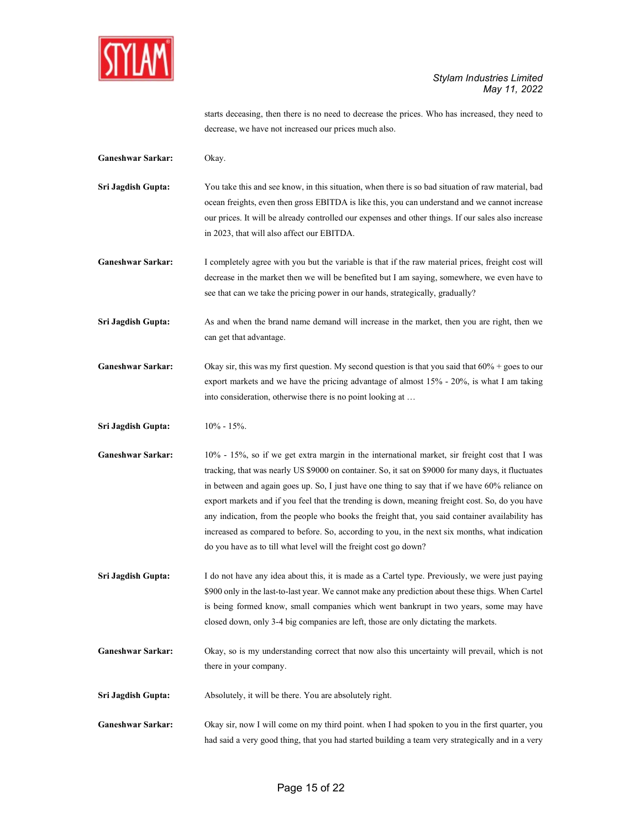

starts deceasing, then there is no need to decrease the prices. Who has increased, they need to decrease, we have not increased our prices much also.

Ganeshwar Sarkar: Okay.

Sri Jagdish Gupta: You take this and see know, in this situation, when there is so bad situation of raw material, bad ocean freights, even then gross EBITDA is like this, you can understand and we cannot increase our prices. It will be already controlled our expenses and other things. If our sales also increase in 2023, that will also affect our EBITDA.

Ganeshwar Sarkar: I completely agree with you but the variable is that if the raw material prices, freight cost will decrease in the market then we will be benefited but I am saying, somewhere, we even have to see that can we take the pricing power in our hands, strategically, gradually?

Sri Jagdish Gupta: As and when the brand name demand will increase in the market, then you are right, then we can get that advantage.

- Ganeshwar Sarkar: Okay sir, this was my first question. My second question is that you said that 60% + goes to our export markets and we have the pricing advantage of almost 15% - 20%, is what I am taking into consideration, otherwise there is no point looking at …
- Sri Jagdish Gupta:  $10\% 15\%$ .
- Ganeshwar Sarkar: 10% 15%, so if we get extra margin in the international market, sir freight cost that I was tracking, that was nearly US \$9000 on container. So, it sat on \$9000 for many days, it fluctuates in between and again goes up. So, I just have one thing to say that if we have 60% reliance on export markets and if you feel that the trending is down, meaning freight cost. So, do you have any indication, from the people who books the freight that, you said container availability has increased as compared to before. So, according to you, in the next six months, what indication do you have as to till what level will the freight cost go down?

Sri Jagdish Gupta: I do not have any idea about this, it is made as a Cartel type. Previously, we were just paying \$900 only in the last-to-last year. We cannot make any prediction about these thigs. When Cartel is being formed know, small companies which went bankrupt in two years, some may have closed down, only 3-4 big companies are left, those are only dictating the markets.

Ganeshwar Sarkar: Okay, so is my understanding correct that now also this uncertainty will prevail, which is not there in your company.

Sri Jagdish Gupta: Absolutely, it will be there. You are absolutely right.

Ganeshwar Sarkar: Okay sir, now I will come on my third point. when I had spoken to you in the first quarter, you had said a very good thing, that you had started building a team very strategically and in a very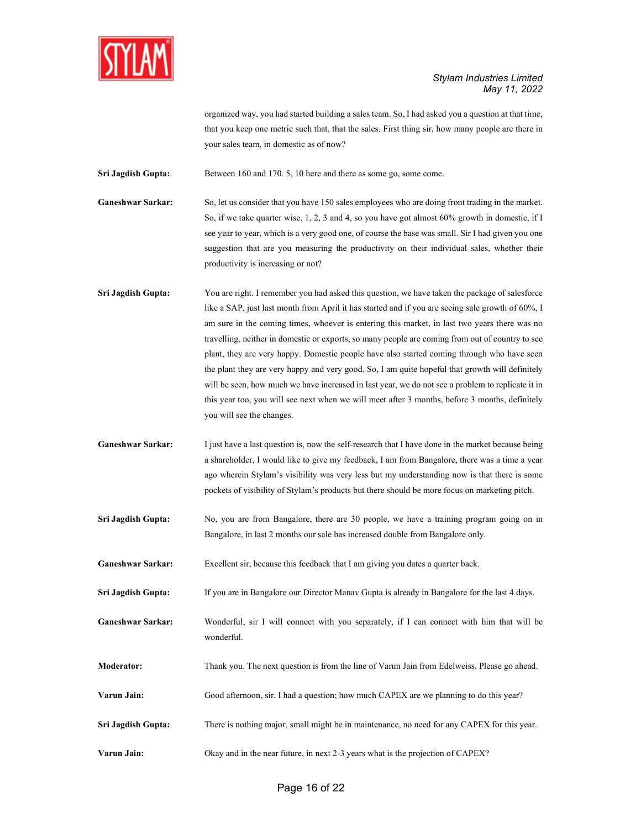

organized way, you had started building a sales team. So, I had asked you a question at that time, that you keep one metric such that, that the sales. First thing sir, how many people are there in your sales team, in domestic as of now?

Sri Jagdish Gupta: Between 160 and 170. 5, 10 here and there as some go, some come.

Ganeshwar Sarkar: So, let us consider that you have 150 sales employees who are doing front trading in the market. So, if we take quarter wise, 1, 2, 3 and 4, so you have got almost 60% growth in domestic, if I see year to year, which is a very good one, of course the base was small. Sir I had given you one suggestion that are you measuring the productivity on their individual sales, whether their productivity is increasing or not?

Sri Jagdish Gupta: You are right. I remember you had asked this question, we have taken the package of salesforce like a SAP, just last month from April it has started and if you are seeing sale growth of 60%, I am sure in the coming times, whoever is entering this market, in last two years there was no travelling, neither in domestic or exports, so many people are coming from out of country to see plant, they are very happy. Domestic people have also started coming through who have seen the plant they are very happy and very good. So, I am quite hopeful that growth will definitely will be seen, how much we have increased in last year, we do not see a problem to replicate it in this year too, you will see next when we will meet after 3 months, before 3 months, definitely you will see the changes.

Ganeshwar Sarkar: I just have a last question is, now the self-research that I have done in the market because being a shareholder, I would like to give my feedback, I am from Bangalore, there was a time a year ago wherein Stylam's visibility was very less but my understanding now is that there is some pockets of visibility of Stylam's products but there should be more focus on marketing pitch.

- Sri Jagdish Gupta: No, you are from Bangalore, there are 30 people, we have a training program going on in Bangalore, in last 2 months our sale has increased double from Bangalore only.
- Ganeshwar Sarkar: Excellent sir, because this feedback that I am giving you dates a quarter back.

Sri Jagdish Gupta: If you are in Bangalore our Director Manav Gupta is already in Bangalore for the last 4 days.

- Ganeshwar Sarkar: Wonderful, sir I will connect with you separately, if I can connect with him that will be wonderful.
- Moderator: Thank you. The next question is from the line of Varun Jain from Edelweiss. Please go ahead.
- Varun Jain: Good afternoon, sir. I had a question; how much CAPEX are we planning to do this year?
- Sri Jagdish Gupta: There is nothing major, small might be in maintenance, no need for any CAPEX for this year.
- Varun Jain: Okay and in the near future, in next 2-3 years what is the projection of CAPEX?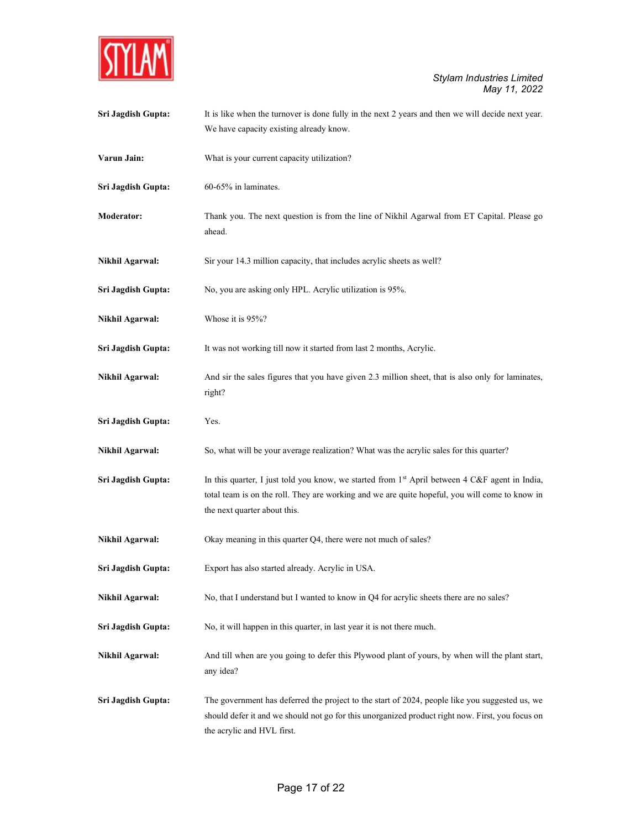

| Sri Jagdish Gupta:     | It is like when the turnover is done fully in the next 2 years and then we will decide next year.<br>We have capacity existing already know.                                                                                       |
|------------------------|------------------------------------------------------------------------------------------------------------------------------------------------------------------------------------------------------------------------------------|
| Varun Jain:            | What is your current capacity utilization?                                                                                                                                                                                         |
| Sri Jagdish Gupta:     | 60-65% in laminates.                                                                                                                                                                                                               |
| Moderator:             | Thank you. The next question is from the line of Nikhil Agarwal from ET Capital. Please go<br>ahead.                                                                                                                               |
| <b>Nikhil Agarwal:</b> | Sir your 14.3 million capacity, that includes acrylic sheets as well?                                                                                                                                                              |
| Sri Jagdish Gupta:     | No, you are asking only HPL. Acrylic utilization is 95%.                                                                                                                                                                           |
| <b>Nikhil Agarwal:</b> | Whose it is 95%?                                                                                                                                                                                                                   |
| Sri Jagdish Gupta:     | It was not working till now it started from last 2 months, Acrylic.                                                                                                                                                                |
| <b>Nikhil Agarwal:</b> | And sir the sales figures that you have given 2.3 million sheet, that is also only for laminates,<br>right?                                                                                                                        |
| Sri Jagdish Gupta:     | Yes.                                                                                                                                                                                                                               |
| <b>Nikhil Agarwal:</b> | So, what will be your average realization? What was the acrylic sales for this quarter?                                                                                                                                            |
| Sri Jagdish Gupta:     | In this quarter, I just told you know, we started from $1st$ April between 4 C&F agent in India,<br>total team is on the roll. They are working and we are quite hopeful, you will come to know in<br>the next quarter about this. |
| <b>Nikhil Agarwal:</b> | Okay meaning in this quarter Q4, there were not much of sales?                                                                                                                                                                     |
| Sri Jagdish Gupta:     | Export has also started already. Acrylic in USA.                                                                                                                                                                                   |
| Nikhil Agarwal:        | No, that I understand but I wanted to know in Q4 for acrylic sheets there are no sales?                                                                                                                                            |
| Sri Jagdish Gupta:     | No, it will happen in this quarter, in last year it is not there much.                                                                                                                                                             |
| <b>Nikhil Agarwal:</b> | And till when are you going to defer this Plywood plant of yours, by when will the plant start,<br>any idea?                                                                                                                       |
| Sri Jagdish Gupta:     | The government has deferred the project to the start of 2024, people like you suggested us, we<br>should defer it and we should not go for this unorganized product right now. First, you focus on<br>the acrylic and HVL first.   |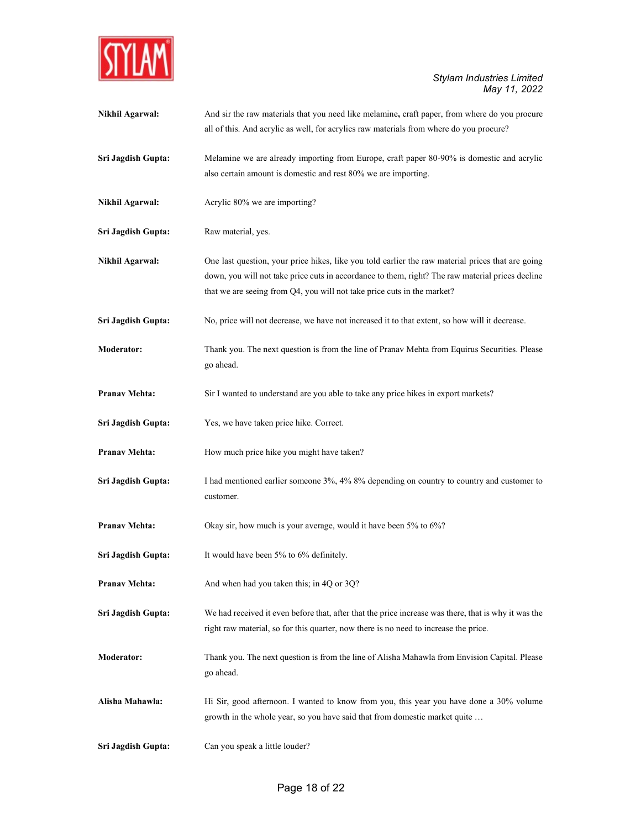

| <b>Nikhil Agarwal:</b> | And sir the raw materials that you need like melamine, craft paper, from where do you procure<br>all of this. And acrylic as well, for acrylics raw materials from where do you procure?                                                                                         |
|------------------------|----------------------------------------------------------------------------------------------------------------------------------------------------------------------------------------------------------------------------------------------------------------------------------|
| Sri Jagdish Gupta:     | Melamine we are already importing from Europe, craft paper 80-90% is domestic and acrylic<br>also certain amount is domestic and rest 80% we are importing.                                                                                                                      |
| <b>Nikhil Agarwal:</b> | Acrylic 80% we are importing?                                                                                                                                                                                                                                                    |
| Sri Jagdish Gupta:     | Raw material, yes.                                                                                                                                                                                                                                                               |
| <b>Nikhil Agarwal:</b> | One last question, your price hikes, like you told earlier the raw material prices that are going<br>down, you will not take price cuts in accordance to them, right? The raw material prices decline<br>that we are seeing from Q4, you will not take price cuts in the market? |
| Sri Jagdish Gupta:     | No, price will not decrease, we have not increased it to that extent, so how will it decrease.                                                                                                                                                                                   |
| <b>Moderator:</b>      | Thank you. The next question is from the line of Pranav Mehta from Equirus Securities. Please<br>go ahead.                                                                                                                                                                       |
| <b>Pranav Mehta:</b>   | Sir I wanted to understand are you able to take any price hikes in export markets?                                                                                                                                                                                               |
| Sri Jagdish Gupta:     | Yes, we have taken price hike. Correct.                                                                                                                                                                                                                                          |
| <b>Pranav Mehta:</b>   | How much price hike you might have taken?                                                                                                                                                                                                                                        |
| Sri Jagdish Gupta:     | I had mentioned earlier someone 3%, 4% 8% depending on country to country and customer to<br>customer.                                                                                                                                                                           |
| <b>Pranav Mehta:</b>   | Okay sir, how much is your average, would it have been 5% to 6%?                                                                                                                                                                                                                 |
| Sri Jagdish Gupta:     | It would have been 5% to 6% definitely.                                                                                                                                                                                                                                          |
| <b>Pranav Mehta:</b>   | And when had you taken this; in 4Q or 3Q?                                                                                                                                                                                                                                        |
| Sri Jagdish Gupta:     | We had received it even before that, after that the price increase was there, that is why it was the<br>right raw material, so for this quarter, now there is no need to increase the price.                                                                                     |
| <b>Moderator:</b>      | Thank you. The next question is from the line of Alisha Mahawla from Envision Capital. Please<br>go ahead.                                                                                                                                                                       |
| Alisha Mahawla:        | Hi Sir, good afternoon. I wanted to know from you, this year you have done a 30% volume<br>growth in the whole year, so you have said that from domestic market quite                                                                                                            |
| Sri Jagdish Gupta:     | Can you speak a little louder?                                                                                                                                                                                                                                                   |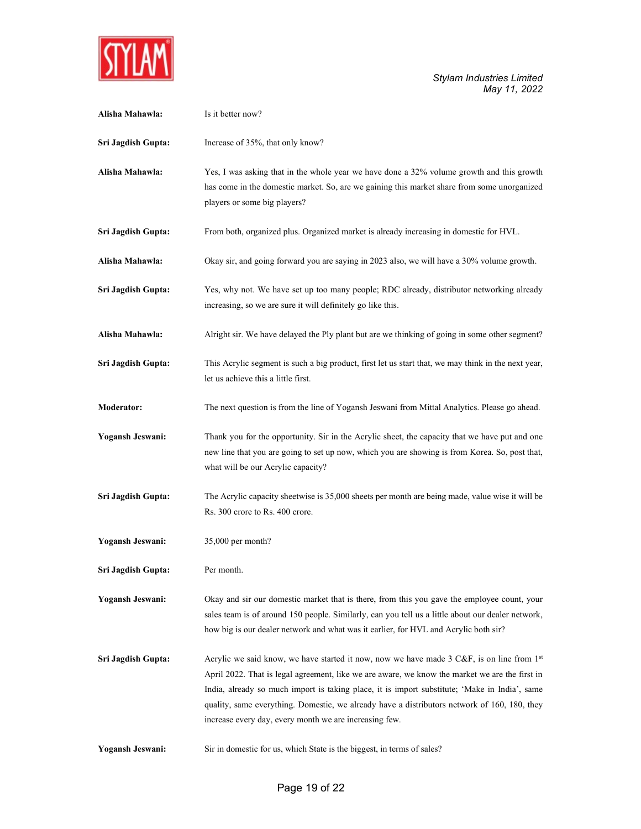

| Alisha Mahawla:    | Is it better now?                                                                                                                                                                                                                                                                                                                                                                                                                                        |
|--------------------|----------------------------------------------------------------------------------------------------------------------------------------------------------------------------------------------------------------------------------------------------------------------------------------------------------------------------------------------------------------------------------------------------------------------------------------------------------|
| Sri Jagdish Gupta: | Increase of 35%, that only know?                                                                                                                                                                                                                                                                                                                                                                                                                         |
| Alisha Mahawla:    | Yes, I was asking that in the whole year we have done a 32% volume growth and this growth<br>has come in the domestic market. So, are we gaining this market share from some unorganized<br>players or some big players?                                                                                                                                                                                                                                 |
| Sri Jagdish Gupta: | From both, organized plus. Organized market is already increasing in domestic for HVL.                                                                                                                                                                                                                                                                                                                                                                   |
| Alisha Mahawla:    | Okay sir, and going forward you are saying in 2023 also, we will have a 30% volume growth.                                                                                                                                                                                                                                                                                                                                                               |
| Sri Jagdish Gupta: | Yes, why not. We have set up too many people; RDC already, distributor networking already<br>increasing, so we are sure it will definitely go like this.                                                                                                                                                                                                                                                                                                 |
| Alisha Mahawla:    | Alright sir. We have delayed the Ply plant but are we thinking of going in some other segment?                                                                                                                                                                                                                                                                                                                                                           |
| Sri Jagdish Gupta: | This Acrylic segment is such a big product, first let us start that, we may think in the next year,<br>let us achieve this a little first.                                                                                                                                                                                                                                                                                                               |
| Moderator:         | The next question is from the line of Yogansh Jeswani from Mittal Analytics. Please go ahead.                                                                                                                                                                                                                                                                                                                                                            |
| Yogansh Jeswani:   | Thank you for the opportunity. Sir in the Acrylic sheet, the capacity that we have put and one<br>new line that you are going to set up now, which you are showing is from Korea. So, post that,<br>what will be our Acrylic capacity?                                                                                                                                                                                                                   |
| Sri Jagdish Gupta: | The Acrylic capacity sheetwise is 35,000 sheets per month are being made, value wise it will be<br>Rs. 300 crore to Rs. 400 crore.                                                                                                                                                                                                                                                                                                                       |
| Yogansh Jeswani:   | 35,000 per month?                                                                                                                                                                                                                                                                                                                                                                                                                                        |
| Sri Jagdish Gupta: | Per month.                                                                                                                                                                                                                                                                                                                                                                                                                                               |
| Yogansh Jeswani:   | Okay and sir our domestic market that is there, from this you gave the employee count, your<br>sales team is of around 150 people. Similarly, can you tell us a little about our dealer network,<br>how big is our dealer network and what was it earlier, for HVL and Acrylic both sir?                                                                                                                                                                 |
| Sri Jagdish Gupta: | Acrylic we said know, we have started it now, now we have made 3 C&F, is on line from $1st$<br>April 2022. That is legal agreement, like we are aware, we know the market we are the first in<br>India, already so much import is taking place, it is import substitute; 'Make in India', same<br>quality, same everything. Domestic, we already have a distributors network of 160, 180, they<br>increase every day, every month we are increasing few. |
| Yogansh Jeswani:   | Sir in domestic for us, which State is the biggest, in terms of sales?                                                                                                                                                                                                                                                                                                                                                                                   |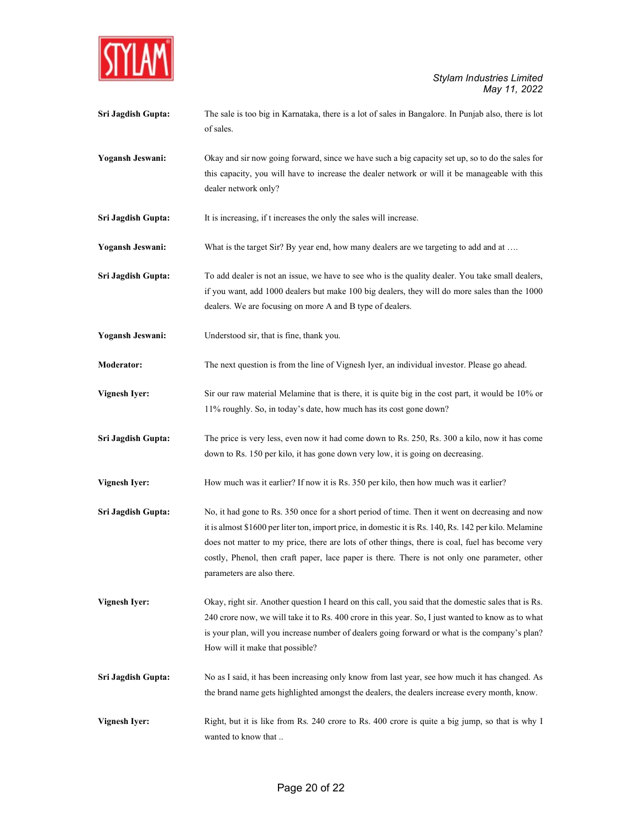

Sri Jagdish Gupta: The sale is too big in Karnataka, there is a lot of sales in Bangalore. In Punjab also, there is lot of sales.

Yogansh Jeswani: Okay and sir now going forward, since we have such a big capacity set up, so to do the sales for this capacity, you will have to increase the dealer network or will it be manageable with this dealer network only?

Sri Jagdish Gupta: It is increasing, if t increases the only the sales will increase.

Yogansh Jeswani: What is the target Sir? By year end, how many dealers are we targeting to add and at ....

Sri Jagdish Gupta: To add dealer is not an issue, we have to see who is the quality dealer. You take small dealers, if you want, add 1000 dealers but make 100 big dealers, they will do more sales than the 1000 dealers. We are focusing on more A and B type of dealers.

Yogansh Jeswani: Understood sir, that is fine, thank you.

Moderator: The next question is from the line of Vignesh Iyer, an individual investor. Please go ahead.

Vignesh Iyer: Sir our raw material Melamine that is there, it is quite big in the cost part, it would be 10% or 11% roughly. So, in today's date, how much has its cost gone down?

Sri Jagdish Gupta: The price is very less, even now it had come down to Rs. 250, Rs. 300 a kilo, now it has come down to Rs. 150 per kilo, it has gone down very low, it is going on decreasing.

Vignesh Iyer: How much was it earlier? If now it is Rs. 350 per kilo, then how much was it earlier?

- Sri Jagdish Gupta: No, it had gone to Rs. 350 once for a short period of time. Then it went on decreasing and now it is almost \$1600 per liter ton, import price, in domestic it is Rs. 140, Rs. 142 per kilo. Melamine does not matter to my price, there are lots of other things, there is coal, fuel has become very costly, Phenol, then craft paper, lace paper is there. There is not only one parameter, other parameters are also there.
- Vignesh Iyer: Okay, right sir. Another question I heard on this call, you said that the domestic sales that is Rs. 240 crore now, we will take it to Rs. 400 crore in this year. So, I just wanted to know as to what is your plan, will you increase number of dealers going forward or what is the company's plan? How will it make that possible?
- Sri Jagdish Gupta: No as I said, it has been increasing only know from last year, see how much it has changed. As the brand name gets highlighted amongst the dealers, the dealers increase every month, know.

Vignesh Iyer: Right, but it is like from Rs. 240 crore to Rs. 400 crore is quite a big jump, so that is why I wanted to know that ..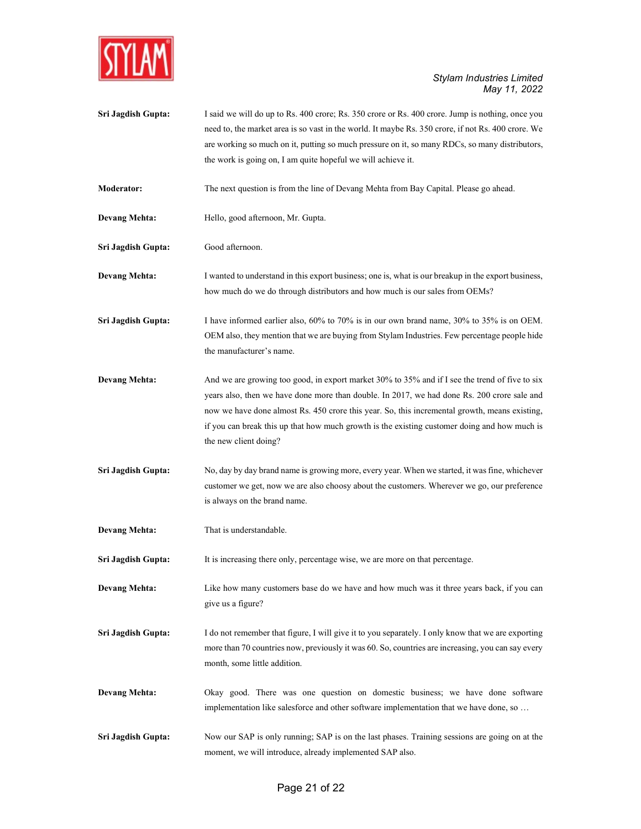

Sri Jagdish Gupta: I said we will do up to Rs. 400 crore; Rs. 350 crore or Rs. 400 crore. Jump is nothing, once you need to, the market area is so vast in the world. It maybe Rs. 350 crore, if not Rs. 400 crore. We are working so much on it, putting so much pressure on it, so many RDCs, so many distributors, the work is going on, I am quite hopeful we will achieve it.

Moderator: The next question is from the line of Devang Mehta from Bay Capital. Please go ahead.

Devang Mehta: Hello, good afternoon, Mr. Gupta.

Sri Jagdish Gupta: Good afternoon.

Devang Mehta: I wanted to understand in this export business; one is, what is our breakup in the export business, how much do we do through distributors and how much is our sales from OEMs?

Sri Jagdish Gupta: I have informed earlier also, 60% to 70% is in our own brand name, 30% to 35% is on OEM. OEM also, they mention that we are buying from Stylam Industries. Few percentage people hide the manufacturer's name.

- Devang Mehta: And we are growing too good, in export market 30% to 35% and if I see the trend of five to six years also, then we have done more than double. In 2017, we had done Rs. 200 crore sale and now we have done almost Rs. 450 crore this year. So, this incremental growth, means existing, if you can break this up that how much growth is the existing customer doing and how much is the new client doing?
- Sri Jagdish Gupta: No, day by day brand name is growing more, every year. When we started, it was fine, whichever customer we get, now we are also choosy about the customers. Wherever we go, our preference is always on the brand name.
- Devang Mehta: That is understandable.

Sri Jagdish Gupta: It is increasing there only, percentage wise, we are more on that percentage.

Devang Mehta: Like how many customers base do we have and how much was it three years back, if you can give us a figure?

Sri Jagdish Gupta: I do not remember that figure, I will give it to you separately. I only know that we are exporting more than 70 countries now, previously it was 60. So, countries are increasing, you can say every month, some little addition.

- Devang Mehta: Okay good. There was one question on domestic business; we have done software implementation like salesforce and other software implementation that we have done, so …
- Sri Jagdish Gupta: Now our SAP is only running; SAP is on the last phases. Training sessions are going on at the moment, we will introduce, already implemented SAP also.